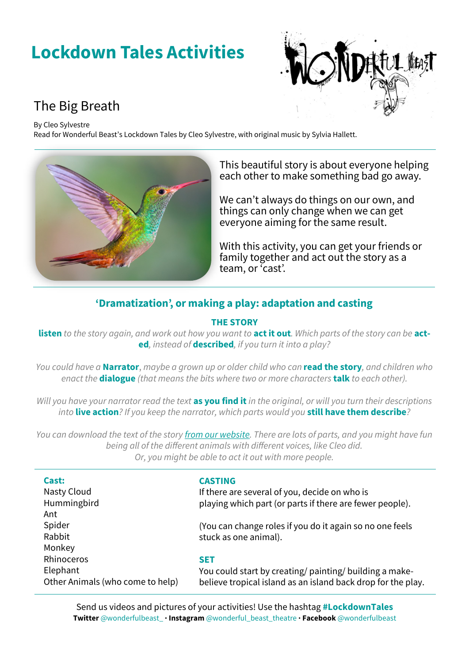# **Lockdown Tales Activities**



# The Big Breath

By Cleo Sylvestre

Read for Wonderful Beast's Lockdown Tales by Cleo Sylvestre, with original music by Sylvia Hallett.



This beautiful story is about everyone helping each other to make something bad go away.

We can't always do things on our own, and things can only change when we can get everyone aiming for the same result.

With this activity, you can get your friends or family together and act out the story as a team, or 'cast'.

# **'Dramatization', or making a play: adaptation and casting**

## **THE STORY**

**listen** *to the story again, and work out how you want to* **act it out***. Which parts of the story can be* **acted***, instead of* **described***, if you turn it into a play?*

*You could have a* **Narrator**, *maybe a grown up or older child who can* **read the story***, and children who enact the* **dialogue** *(that means the bits where two or more characters* **talk** *to each other).*

*Will you have your narrator read the text* **as you find it** *in the original, or will you turn their descriptions into* **live action***? If you keep the narrator, which parts would you* **still have them describe***?*

*You can download the text of the story [from our website.](http://www.wonderfulbeast.co.uk/uploads/1/2/9/1/129168781/the_big_breath__cleo_sylvestre__original_text_edited_by_emma_close-brooks_for_wonderful_beast.pdf) There are lots of parts, and you might have fun being all of the different animals with different voices, like Cleo did. Or, you might be able to act it out with more people.* 

| Cast:                            | <b>CASTING</b>                                               |
|----------------------------------|--------------------------------------------------------------|
| Nasty Cloud                      | If there are several of you, decide on who is                |
| Hummingbird                      | playing which part (or parts if there are fewer people).     |
| Ant                              |                                                              |
| Spider                           | (You can change roles if you do it again so no one feels     |
| Rabbit                           | stuck as one animal).                                        |
| Monkey                           |                                                              |
| Rhinoceros                       | <b>SET</b>                                                   |
| Elephant                         | You could start by creating/ painting/ building a make-      |
| Other Animals (who come to help) | believe tropical island as an island back drop for the play. |
|                                  |                                                              |

Send us videos and pictures of your activities! Use the hashtag **#LockdownTales Twitter** @wonderfulbeast\_ **· Instagram** @wonderful\_beast\_theatre **· Facebook** @wonderfulbeast